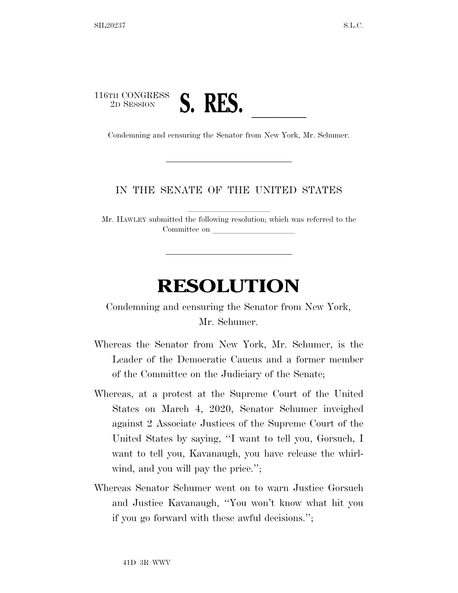## 116TH CONGRESS 2D SESSION **S. RES. Condemning and censuring the Senator from New York, Mr. Schumer.**

## IN THE SENATE OF THE UNITED STATES

Mr. HAWLEY submitted the following resolution; which was referred to the Committee on

## **RESOLUTION**

Condemning and censuring the Senator from New York, Mr. Schumer.

- Whereas the Senator from New York, Mr. Schumer, is the Leader of the Democratic Caucus and a former member of the Committee on the Judiciary of the Senate;
- Whereas, at a protest at the Supreme Court of the United States on March 4, 2020, Senator Schumer inveighed against 2 Associate Justices of the Supreme Court of the United States by saying, ''I want to tell you, Gorsuch, I want to tell you, Kavanaugh, you have release the whirlwind, and you will pay the price.";
- Whereas Senator Schumer went on to warn Justice Gorsuch and Justice Kavanaugh, ''You won't know what hit you if you go forward with these awful decisions.'';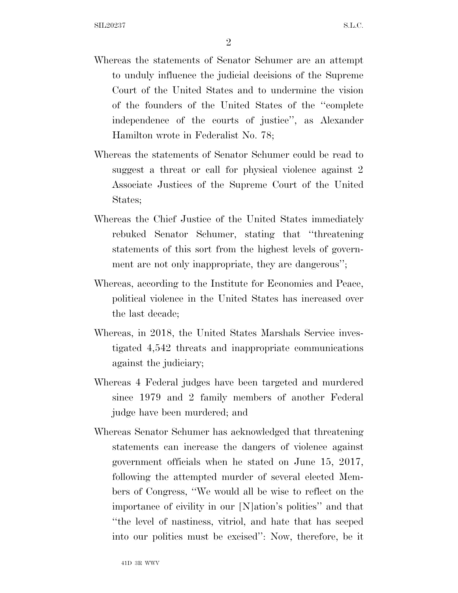- Whereas the statements of Senator Schumer are an attempt to unduly influence the judicial decisions of the Supreme Court of the United States and to undermine the vision of the founders of the United States of the ''complete independence of the courts of justice'', as Alexander Hamilton wrote in Federalist No. 78;
- Whereas the statements of Senator Schumer could be read to suggest a threat or call for physical violence against 2 Associate Justices of the Supreme Court of the United States;
- Whereas the Chief Justice of the United States immediately rebuked Senator Schumer, stating that ''threatening statements of this sort from the highest levels of government are not only inappropriate, they are dangerous'';
- Whereas, according to the Institute for Economics and Peace, political violence in the United States has increased over the last decade;
- Whereas, in 2018, the United States Marshals Service investigated 4,542 threats and inappropriate communications against the judiciary;
- Whereas 4 Federal judges have been targeted and murdered since 1979 and 2 family members of another Federal judge have been murdered; and
- Whereas Senator Schumer has acknowledged that threatening statements can increase the dangers of violence against government officials when he stated on June 15, 2017, following the attempted murder of several elected Members of Congress, ''We would all be wise to reflect on the importance of civility in our [N]ation's politics'' and that ''the level of nastiness, vitriol, and hate that has seeped into our politics must be excised'': Now, therefore, be it